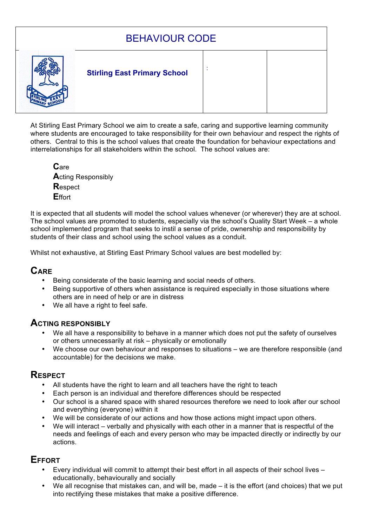# BEHAVIOUR CODE



## : **Stirling East Primary School**

At Stirling East Primary School we aim to create a safe, caring and supportive learning community where students are encouraged to take responsibility for their own behaviour and respect the rights of others. Central to this is the school values that create the foundation for behaviour expectations and interrelationships for all stakeholders within the school. The school values are:

**C**are **A**cting Responsibly **R**espect **E**ffort

It is expected that all students will model the school values whenever (or wherever) they are at school. The school values are promoted to students, especially via the school's Quality Start Week – a whole school implemented program that seeks to instil a sense of pride, ownership and responsibility by students of their class and school using the school values as a conduit.

Whilst not exhaustive, at Stirling East Primary School values are best modelled by:

# **CARE**

- Being considerate of the basic learning and social needs of others.
- Being supportive of others when assistance is required especially in those situations where others are in need of help or are in distress
- We all have a right to feel safe.

### **ACTING RESPONSIBLY**

- We all have a responsibility to behave in a manner which does not put the safety of ourselves or others unnecessarily at risk – physically or emotionally
- We choose our own behaviour and responses to situations we are therefore responsible (and accountable) for the decisions we make.

### **RESPECT**

- All students have the right to learn and all teachers have the right to teach
- Each person is an individual and therefore differences should be respected
- Our school is a shared space with shared resources therefore we need to look after our school and everything (everyone) within it
- We will be considerate of our actions and how those actions might impact upon others.
- We will interact verbally and physically with each other in a manner that is respectful of the needs and feelings of each and every person who may be impacted directly or indirectly by our actions.

# **EFFORT**

- Every individual will commit to attempt their best effort in all aspects of their school lives educationally, behaviourally and socially
- We all recognise that mistakes can, and will be, made it is the effort (and choices) that we put into rectifying these mistakes that make a positive difference.